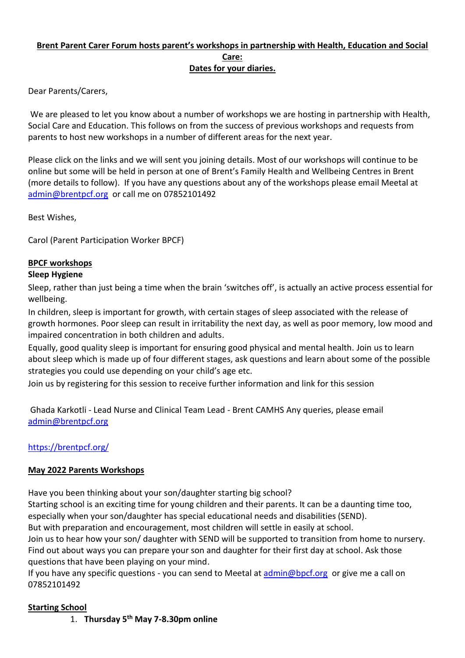## **Brent Parent Carer Forum hosts parent's workshops in partnership with Health, Education and Social Care: Dates for your diaries.**

Dear Parents/Carers,

We are pleased to let you know about a number of workshops we are hosting in partnership with Health, Social Care and Education. This follows on from the success of previous workshops and requests from parents to host new workshops in a number of different areas for the next year.

Please click on the links and we will sent you joining details. Most of our workshops will continue to be online but some will be held in person at one of Brent's Family Health and Wellbeing Centres in Brent (more details to follow). If you have any questions about any of the workshops please email Meetal at [admin@brentpcf.org](mailto:admin@brentpcf.org) or call me on 07852101492

Best Wishes,

Carol (Parent Participation Worker BPCF)

## **BPCF workshops**

#### **Sleep Hygiene**

Sleep, rather than just being a time when the brain 'switches off', is actually an active process essential for wellbeing.

In children, sleep is important for growth, with certain stages of sleep associated with the release of growth hormones. Poor sleep can result in irritability the next day, as well as poor memory, low mood and impaired concentration in both children and adults.

Equally, good quality sleep is important for ensuring good physical and mental health. Join us to learn about sleep which is made up of four different stages, ask questions and learn about some of the possible strategies you could use depending on your child's age etc.

Join us by registering for this session to receive further information and link for this session

Ghada Karkotli - Lead Nurse and Clinical Team Lead - Brent CAMHS Any queries, please email [admin@brentpcf.org](mailto:admin@brentpcf.org)

## <https://brentpcf.org/>

## **May 2022 Parents Workshops**

Have you been thinking about your son/daughter starting big school?

Starting school is an exciting time for young children and their parents. It can be a daunting time too, especially when your son/daughter has special educational needs and disabilities (SEND).

But with preparation and encouragement, most children will settle in easily at school.

Join us to hear how your son/ daughter with SEND will be supported to transition from home to nursery. Find out about ways you can prepare your son and daughter for their first day at school. Ask those questions that have been playing on your mind.

If you have any specific questions - you can send to Meetal at  $\frac{\text{admin@bpcf.org}}{\text{abpcf.org}}$  or give me a call on 07852101492

## **Starting School**

1. **Thursday 5th May 7-8.30pm online**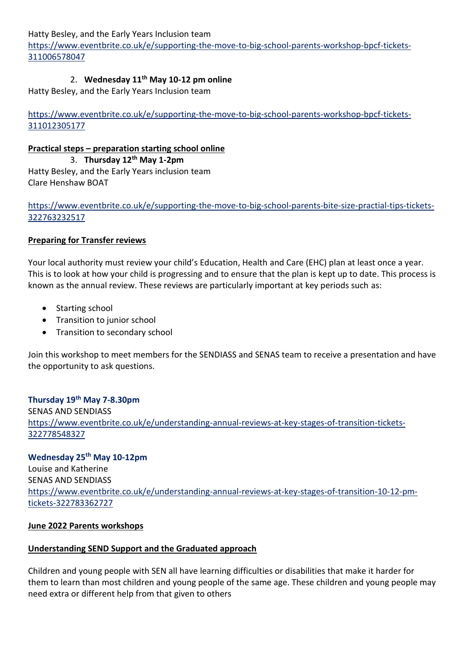Hatty Besley, and the Early Years Inclusion team

[https://www.eventbrite.co.uk/e/supporting-the-move-to-big-school-parents-workshop-bpcf-tickets-](https://www.eventbrite.co.uk/e/supporting-the-move-to-big-school-parents-workshop-bpcf-tickets-311006578047)[311006578047](https://www.eventbrite.co.uk/e/supporting-the-move-to-big-school-parents-workshop-bpcf-tickets-311006578047)

# 2. **Wednesday 11th May 10-12 pm online**

Hatty Besley, and the Early Years Inclusion team

[https://www.eventbrite.co.uk/e/supporting-the-move-to-big-school-parents-workshop-bpcf-tickets-](https://www.eventbrite.co.uk/e/supporting-the-move-to-big-school-parents-workshop-bpcf-tickets-311012305177)[311012305177](https://www.eventbrite.co.uk/e/supporting-the-move-to-big-school-parents-workshop-bpcf-tickets-311012305177)

## **Practical steps – preparation starting school online**

3. **Thursday 12th May 1-2pm** Hatty Besley, and the Early Years inclusion team Clare Henshaw BOAT

## [https://www.eventbrite.co.uk/e/supporting-the-move-to-big-school-parents-bite-size-practial-tips-tickets-](https://www.eventbrite.co.uk/e/supporting-the-move-to-big-school-parents-bite-size-practial-tips-tickets-322763232517)[322763232517](https://www.eventbrite.co.uk/e/supporting-the-move-to-big-school-parents-bite-size-practial-tips-tickets-322763232517)

## **Preparing for Transfer reviews**

Your local authority must review your child's Education, Health and Care (EHC) plan at least once a year. This is to look at how your child is progressing and to ensure that the plan is kept up to date. This process is known as the annual review. These reviews are particularly important at key periods such as:

- Starting school
- Transition to junior school
- Transition to secondary school

Join this workshop to meet members for the SENDIASS and SENAS team to receive a presentation and have the opportunity to ask questions.

## **Thursday 19th May 7-8.30pm** SENAS AND SENDIASS [https://www.eventbrite.co.uk/e/understanding-annual-reviews-at-key-stages-of-transition-tickets-](https://www.eventbrite.co.uk/e/understanding-annual-reviews-at-key-stages-of-transition-tickets-322778548327)[322778548327](https://www.eventbrite.co.uk/e/understanding-annual-reviews-at-key-stages-of-transition-tickets-322778548327)

# **Wednesday 25th May 10-12pm**  Louise and Katherine SENAS AND SENDIASS [https://www.eventbrite.co.uk/e/understanding-annual-reviews-at-key-stages-of-transition-10-12-pm](https://www.eventbrite.co.uk/e/understanding-annual-reviews-at-key-stages-of-transition-10-12-pm-tickets-322783362727)[tickets-322783362727](https://www.eventbrite.co.uk/e/understanding-annual-reviews-at-key-stages-of-transition-10-12-pm-tickets-322783362727)

## **June 2022 Parents workshops**

## **Understanding SEND Support and the Graduated approach**

Children and young people with SEN all have learning difficulties or disabilities that make it harder for them to learn than most children and young people of the same age. These children and young people may need extra or different help from that given to others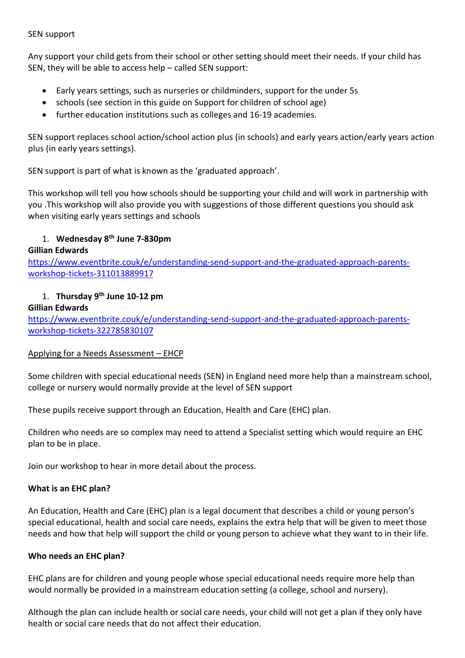#### SEN support

Any support your child gets from their school or other setting should meet their needs. If your child has SEN, they will be able to access help – called SEN support:

- Early years settings, such as nurseries or childminders, support for the under 5s
- schools (see section in this guide on Support for children of school age)
- further education institutions such as colleges and 16-19 academies.

SEN support replaces school action/school action plus (in schools) and early years action/early years action plus (in early years settings).

SEN support is part of what is known as the 'graduated approach'.

This workshop will tell you how schools should be supporting your child and will work in partnership with you .This workshop will also provide you with suggestions of those different questions you should ask when visiting early years settings and schools

## 1. **Wednesday 8th June 7-830pm**

## **Gillian Edwards**

[https://www.eventbrite.couk/e/understanding-send-support-and-the-graduated-approach-parents](https://www.eventbrite.co.uk/e/understanding-send-support-and-the-graduated-approach-parents-workshop-tickets-311013889917)[workshop-tickets-311013889917](https://www.eventbrite.co.uk/e/understanding-send-support-and-the-graduated-approach-parents-workshop-tickets-311013889917)

## 1. **Thursday 9th June 10-12 pm**

#### **Gillian Edwards**

[https://www.eventbrite.couk/e/understanding-send-support-and-the-graduated-approach-parents](https://www.eventbrite.co.uk/e/understanding-send-support-and-the-graduated-approach-parents-workshop-tickets-322785830107)[workshop-tickets-322785830107](https://www.eventbrite.co.uk/e/understanding-send-support-and-the-graduated-approach-parents-workshop-tickets-322785830107)

#### Applying for a Needs Assessment – EHCP

Some children with special educational needs (SEN) in England need more help than a mainstream school, college or nursery would normally provide at the level of SEN support

These pupils receive support through an Education, Health and Care (EHC) plan.

Children who needs are so complex may need to attend a Specialist setting which would require an EHC plan to be in place.

Join our workshop to hear in more detail about the process.

#### **What is an EHC plan?**

An Education, Health and Care (EHC) plan is a legal document that describes a child or young person's special educational, health and social care needs, explains the extra help that will be given to meet those needs and how that help will support the child or young person to achieve what they want to in their life.

#### **Who needs an EHC plan?**

EHC plans are for children and young people whose special educational needs require more help than would normally be provided in a mainstream education setting (a college, school and nursery).

Although the plan can include health or social care needs, your child will not get a plan if they only have health or social care needs that do not affect their education.